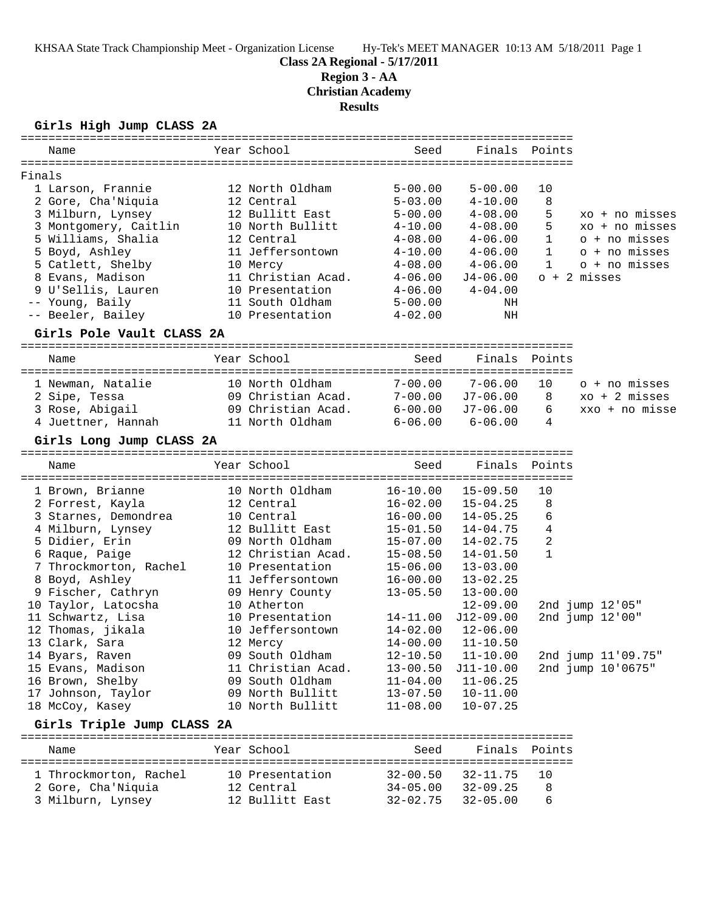**Class 2A Regional - 5/17/2011**

**Region 3 - AA**

**Christian Academy**

**Results**

### **Girls High Jump CLASS 2A**

| Name                        | Year School        | Seed         | Finals Points |              |                         |
|-----------------------------|--------------------|--------------|---------------|--------------|-------------------------|
|                             |                    |              |               |              |                         |
| Finals<br>1 Larson, Frannie | 12 North Oldham    | $5 - 00.00$  | $5 - 00.00$   | 10           |                         |
| 2 Gore, Cha'Niquia          | 12 Central         | $5 - 03.00$  | $4 - 10.00$   | 8            |                         |
| 3 Milburn, Lynsey           | 12 Bullitt East    | $5 - 00.00$  | $4 - 08.00$   | 5            | xo + no misses          |
| 3 Montgomery, Caitlin       | 10 North Bullitt   | $4 - 10.00$  | $4 - 08.00$   | 5            | $xo + no$ misses        |
| 5 Williams, Shalia          | 12 Central         | $4 - 08.00$  | $4 - 06.00$   | $\mathbf{1}$ | o + no misses           |
| 5 Boyd, Ashley              | 11 Jeffersontown   | $4 - 10.00$  | $4 - 06.00$   | $\mathbf{1}$ | o + no misses           |
| 5 Catlett, Shelby           | 10 Mercy           | $4 - 08.00$  | $4 - 06.00$   | $\mathbf{1}$ | o + no misses           |
| 8 Evans, Madison            | 11 Christian Acad. | $4 - 06.00$  | J4-06.00      |              | $o + 2$ misses          |
| 9 U'Sellis, Lauren          | 10 Presentation    | $4 - 06.00$  | $4 - 04.00$   |              |                         |
| -- Young, Baily             | 11 South Oldham    | $5 - 00.00$  | NH            |              |                         |
| -- Beeler, Bailey           | 10 Presentation    | $4 - 02.00$  | NH            |              |                         |
| Girls Pole Vault CLASS 2A   |                    |              |               |              |                         |
|                             |                    |              |               |              |                         |
| Name                        | Year School        | Seed         | Finals Points |              |                         |
| 1 Newman, Natalie           | 10 North Oldham    | $7 - 00.00$  | $7 - 06.00$   | 10           | o + no misses           |
| 2 Sipe, Tessa               | 09 Christian Acad. | $7 - 00.00$  | J7-06.00      | 8            | $xo + 2 \text{ misses}$ |
| 3 Rose, Abigail             | 09 Christian Acad. | $6 - 00.00$  | J7-06.00      | 6            | xxo + no misse          |
| 4 Juettner, Hannah          | 11 North Oldham    | $6 - 06.00$  | $6 - 06.00$   | 4            |                         |
| Girls Long Jump CLASS 2A    |                    |              |               |              |                         |
|                             |                    |              |               |              |                         |
| Name                        | Year School        | Seed         | Finals Points |              |                         |
| 1 Brown, Brianne            | 10 North Oldham    | $16 - 10.00$ | $15 - 09.50$  | 10           |                         |
| 2 Forrest, Kayla            | 12 Central         | $16 - 02.00$ | $15 - 04.25$  | 8            |                         |
| 3 Starnes, Demondrea        | 10 Central         | $16 - 00.00$ | $14 - 05.25$  | 6            |                         |
| 4 Milburn, Lynsey           | 12 Bullitt East    | $15 - 01.50$ | $14 - 04.75$  | 4            |                         |
| 5 Didier, Erin              | 09 North Oldham    | $15 - 07.00$ | $14 - 02.75$  | 2            |                         |
| 6 Raque, Paige              | 12 Christian Acad. | $15 - 08.50$ | $14 - 01.50$  | $\mathbf{1}$ |                         |
| 7 Throckmorton, Rachel      | 10 Presentation    | $15 - 06.00$ | $13 - 03.00$  |              |                         |
| 8 Boyd, Ashley              | 11 Jeffersontown   | $16 - 00.00$ | $13 - 02.25$  |              |                         |
| 9 Fischer, Cathryn          | 09 Henry County    | $13 - 05.50$ | $13 - 00.00$  |              |                         |
| 10 Taylor, Latocsha         | 10 Atherton        |              | $12 - 09.00$  |              | $2nd$ jump $12'05"$     |
| 11 Schwartz, Lisa           | 10 Presentation    | $14 - 11.00$ | $J12-09.00$   |              | 2nd jump 12'00"         |
| 12 Thomas, jikala           | 10 Jeffersontown   | $14 - 02.00$ | $12 - 06.00$  |              |                         |
| 13 Clark, Sara              | 12 Mercy           | $14 - 00.00$ | $11 - 10.50$  |              |                         |
| 14 Byars, Raven             | 09 South Oldham    | $12 - 10.50$ | $11 - 10.00$  |              | 2nd jump 11'09.75"      |
| 15 Evans, Madison           | 11 Christian Acad. | $13 - 00.50$ | J11-10.00     |              | 2nd jump 10'0675"       |
| 16 Brown, Shelby            | 09 South Oldham    | $11 - 04.00$ | $11 - 06.25$  |              |                         |
| 17 Johnson, Taylor          | 09 North Bullitt   | $13 - 07.50$ | $10 - 11.00$  |              |                         |
| 18 McCoy, Kasey             | 10 North Bullitt   | $11 - 08.00$ | $10 - 07.25$  |              |                         |

### **Girls Triple Jump CLASS 2A**

| Name                   | Year School     | Seed         | Finals       | Points     |
|------------------------|-----------------|--------------|--------------|------------|
| 1 Throckmorton, Rachel | 10 Presentation | $32 - 00.50$ | 32-11.75     | 10         |
| 2 Gore, Cha'Niquia     | 12 Central      | $34 - 05.00$ | $32 - 09.25$ | 8          |
| 3 Milburn, Lynsey      | 12 Bullitt East | $32 - 02.75$ | $32 - 05.00$ | $\epsilon$ |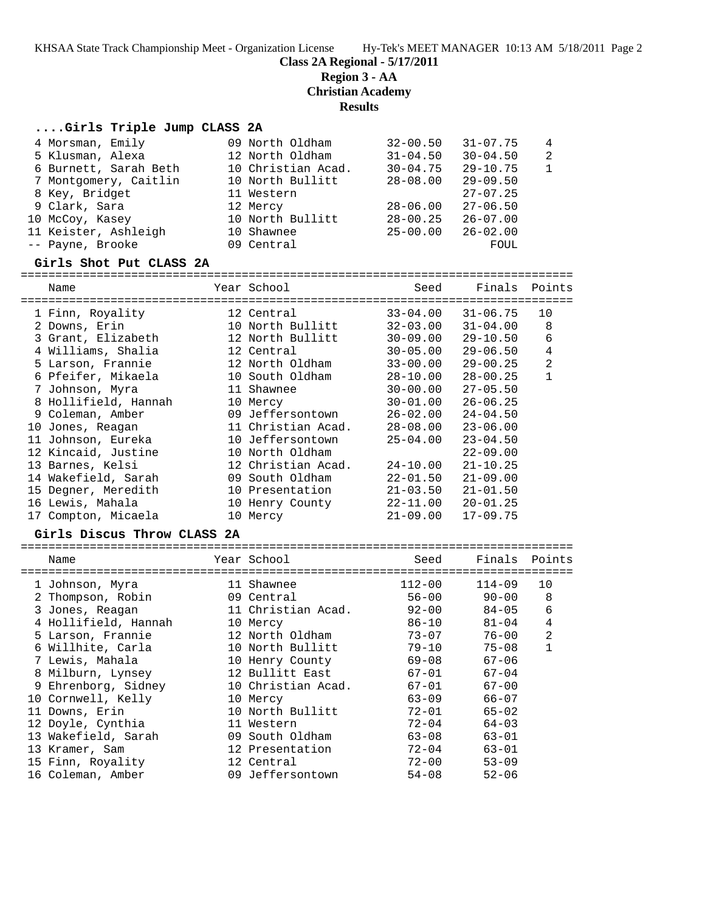**Class 2A Regional - 5/17/2011**

### **Region 3 - AA**

**Christian Academy**

### **Results**

### **....Girls Triple Jump CLASS 2A**

| 4 Morsman, Emily      | 09 North Oldham    | $32 - 00.50$ | $31 - 07.75$ | $\overline{4}$ |
|-----------------------|--------------------|--------------|--------------|----------------|
| 5 Klusman, Alexa      | 12 North Oldham    | $31 - 04.50$ | $30 - 04.50$ | 2              |
| 6 Burnett, Sarah Beth | 10 Christian Acad. | $30 - 04.75$ | $29 - 10.75$ | $\overline{1}$ |
| 7 Montgomery, Caitlin | 10 North Bullitt   | $28 - 08.00$ | $29 - 09.50$ |                |
| 8 Key, Bridget        | 11 Western         |              | $27 - 07.25$ |                |
| 9 Clark, Sara         | 12 Mercy           | $28 - 06.00$ | $27 - 06.50$ |                |
| 10 McCoy, Kasey       | 10 North Bullitt   | $28 - 00.25$ | $26 - 07.00$ |                |
| 11 Keister, Ashleigh  | 10 Shawnee         | $25 - 00.00$ | $26 - 02.00$ |                |
| -- Payne, Brooke      | 09 Central         |              | FOUL         |                |

#### **Girls Shot Put CLASS 2A**

================================================================================ Seed Finals Points

| wam-                 | TOOT DOMOOT        | .<br>UU J    | -------      |              |
|----------------------|--------------------|--------------|--------------|--------------|
| 1 Finn, Royality     | 12 Central         | $33 - 04.00$ | $31 - 06.75$ | 10           |
| 2 Downs, Erin        | 10 North Bullitt   | $32 - 03.00$ | $31 - 04.00$ | 8            |
| 3 Grant, Elizabeth   | 12 North Bullitt   | $30 - 09.00$ | $29 - 10.50$ | 6            |
| 4 Williams, Shalia   | 12 Central         | $30 - 05.00$ | $29 - 06.50$ | $\bf 4$      |
| 5 Larson, Frannie    | 12 North Oldham    | $33 - 00.00$ | $29 - 00.25$ | 2            |
| 6 Pfeifer, Mikaela   | 10 South Oldham    | $28 - 10.00$ | $28 - 00.25$ | $\mathbf{1}$ |
| 7 Johnson, Myra      | 11 Shawnee         | $30 - 00.00$ | $27 - 05.50$ |              |
| 8 Hollifield, Hannah | 10 Mercy           | 30-01.00     | $26 - 06.25$ |              |
| 9 Coleman, Amber     | 09 Jeffersontown   | $26 - 02.00$ | $24 - 04.50$ |              |
| 10 Jones, Reagan     | 11 Christian Acad. | 28-08.00     | $23 - 06.00$ |              |
| 11 Johnson, Eureka   | 10 Jeffersontown   | $25 - 04.00$ | $23 - 04.50$ |              |
| 12 Kincaid, Justine  | 10 North Oldham    |              | $22 - 09.00$ |              |
| 13 Barnes, Kelsi     | 12 Christian Acad. | $24 - 10.00$ | $21 - 10.25$ |              |
| 14 Wakefield, Sarah  | 09 South Oldham    | 22-01.50     | $21 - 09.00$ |              |
| 15 Degner, Meredith  | 10 Presentation    | $21 - 03.50$ | $21 - 01.50$ |              |
| 16 Lewis, Mahala     | 10 Henry County    | $22 - 11.00$ | $20 - 01.25$ |              |
| 17 Compton, Micaela  | 10 Mercy           | $21 - 09.00$ | $17 - 09.75$ |              |
|                      |                    |              |              |              |

#### **Girls Discus Throw CLASS 2A**

| Name |                                                                                                                                                                                                                                                                                                                                          | Seed                                                                                                                                                                                                                                                                                               | Finals     | Points         |
|------|------------------------------------------------------------------------------------------------------------------------------------------------------------------------------------------------------------------------------------------------------------------------------------------------------------------------------------------|----------------------------------------------------------------------------------------------------------------------------------------------------------------------------------------------------------------------------------------------------------------------------------------------------|------------|----------------|
|      |                                                                                                                                                                                                                                                                                                                                          | $112 - 00$                                                                                                                                                                                                                                                                                         | $114 - 09$ | 10             |
|      |                                                                                                                                                                                                                                                                                                                                          | $56 - 00$                                                                                                                                                                                                                                                                                          | $90 - 00$  | 8              |
|      |                                                                                                                                                                                                                                                                                                                                          | $92 - 00$                                                                                                                                                                                                                                                                                          | $84 - 05$  | 6              |
|      |                                                                                                                                                                                                                                                                                                                                          | $86 - 10$                                                                                                                                                                                                                                                                                          | $81 - 04$  | 4              |
|      |                                                                                                                                                                                                                                                                                                                                          | $73 - 07$                                                                                                                                                                                                                                                                                          | $76 - 00$  | $\overline{2}$ |
|      |                                                                                                                                                                                                                                                                                                                                          | $79 - 10$                                                                                                                                                                                                                                                                                          | $75 - 08$  | $\mathbf{1}$   |
|      |                                                                                                                                                                                                                                                                                                                                          | $69 - 08$                                                                                                                                                                                                                                                                                          | $67 - 06$  |                |
|      |                                                                                                                                                                                                                                                                                                                                          | $67 - 01$                                                                                                                                                                                                                                                                                          | $67 - 04$  |                |
|      |                                                                                                                                                                                                                                                                                                                                          | $67 - 01$                                                                                                                                                                                                                                                                                          | $67 - 00$  |                |
|      |                                                                                                                                                                                                                                                                                                                                          | $63 - 09$                                                                                                                                                                                                                                                                                          | $66 - 07$  |                |
|      |                                                                                                                                                                                                                                                                                                                                          | $72 - 01$                                                                                                                                                                                                                                                                                          | $65 - 02$  |                |
|      |                                                                                                                                                                                                                                                                                                                                          | $72 - 04$                                                                                                                                                                                                                                                                                          | $64 - 03$  |                |
|      |                                                                                                                                                                                                                                                                                                                                          | $63 - 08$                                                                                                                                                                                                                                                                                          | $63 - 01$  |                |
|      |                                                                                                                                                                                                                                                                                                                                          | $72 - 04$                                                                                                                                                                                                                                                                                          | $63 - 01$  |                |
|      |                                                                                                                                                                                                                                                                                                                                          | $72 - 00$                                                                                                                                                                                                                                                                                          | $53 - 09$  |                |
|      |                                                                                                                                                                                                                                                                                                                                          | $54 - 08$                                                                                                                                                                                                                                                                                          | $52 - 06$  |                |
|      | 1 Johnson, Myra<br>2 Thompson, Robin<br>3 Jones, Reagan<br>4 Hollifield, Hannah<br>5 Larson, Frannie<br>6 Willhite, Carla<br>7 Lewis, Mahala<br>8 Milburn, Lynsey<br>9 Ehrenborg, Sidney<br>10 Cornwell, Kelly<br>11 Downs, Erin<br>12 Doyle, Cynthia<br>13 Wakefield, Sarah<br>13 Kramer, Sam<br>15 Finn, Royality<br>16 Coleman, Amber | Year School<br>11 Shawnee<br>09 Central<br>11 Christian Acad.<br>10 Mercy<br>12 North Oldham<br>10 North Bullitt<br>10 Henry County<br>12 Bullitt East<br>10 Christian Acad.<br>10 Mercy<br>10 North Bullitt<br>11 Western<br>09 South Oldham<br>12 Presentation<br>12 Central<br>09 Jeffersontown | -----      |                |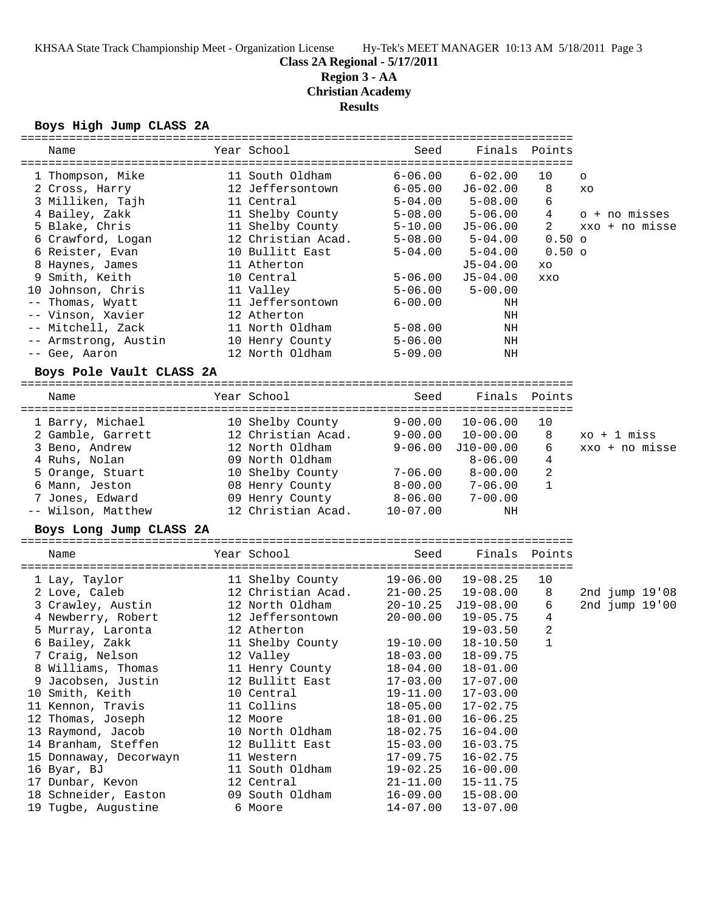**Class 2A Regional - 5/17/2011**

### **Region 3 - AA**

**Christian Academy**

**Results**

### **Boys High Jump CLASS 2A**

| Name                     | Year School        | Seed         | Finals       | Points       |                |
|--------------------------|--------------------|--------------|--------------|--------------|----------------|
|                          |                    |              |              |              |                |
| 1 Thompson, Mike         | 11 South Oldham    | $6 - 06.00$  | $6 - 02.00$  | 10           | $\circ$        |
| 2 Cross, Harry           | 12 Jeffersontown   | $6 - 05.00$  | $J6 - 02.00$ | 8            | XO             |
| 3 Milliken, Tajh         | 11 Central         | $5 - 04.00$  | $5 - 08.00$  | 6            |                |
| 4 Bailey, Zakk           | 11 Shelby County   | $5 - 08.00$  | $5 - 06.00$  | 4            | o + no misses  |
| 5 Blake, Chris           | 11 Shelby County   | $5 - 10.00$  | J5-06.00     | 2            | xxo + no misse |
| 6 Crawford, Logan        | 12 Christian Acad. | 5-08.00      | $5 - 04.00$  | $0.50$ o     |                |
| 6 Reister, Evan          | 10 Bullitt East    | $5 - 04.00$  | $5 - 04.00$  | $0.50$ o     |                |
| 8 Haynes, James          | 11 Atherton        |              | $J5 - 04.00$ | XO           |                |
| 9 Smith, Keith           | 10 Central         | $5 - 06.00$  | $J5 - 04.00$ | <b>XXO</b>   |                |
| 10 Johnson, Chris        | 11 Valley          | $5 - 06.00$  | $5 - 00.00$  |              |                |
| Thomas, Wyatt<br>$--$    | 11 Jeffersontown   | $6 - 00.00$  | ΝH           |              |                |
| -- Vinson, Xavier        | 12 Atherton        |              | NH           |              |                |
| -- Mitchell, Zack        | 11 North Oldham    | $5 - 08.00$  | NH           |              |                |
| -- Armstrong, Austin     | 10 Henry County    | $5 - 06.00$  | NH           |              |                |
| -- Gee, Aaron            | 12 North Oldham    | $5 - 09.00$  | NH           |              |                |
| Boys Pole Vault CLASS 2A |                    |              |              |              |                |
|                          |                    |              |              |              |                |
| Name                     | Year School        | Seed         | Finals       | Points       |                |
|                          |                    |              |              |              |                |
| 1 Barry, Michael         | 10 Shelby County   | $9 - 00.00$  | $10 - 06.00$ | 10           |                |
| 2 Gamble, Garrett        | 12 Christian Acad. | $9 - 00.00$  | $10 - 00.00$ | 8            | $xo + 1$ miss  |
| 3 Beno, Andrew           | 12 North Oldham    | $9 - 06.00$  | $J10-00.00$  | 6            | xxo + no misse |
| 4 Ruhs, Nolan            | 09 North Oldham    |              | $8 - 06.00$  | 4            |                |
| 5 Orange, Stuart         | 10 Shelby County   | 7-06.00      | $8 - 00.00$  | 2            |                |
| 6 Mann, Jeston           | 08 Henry County    | $8-00.00$    | $7 - 06.00$  | $\mathbf{1}$ |                |
| 7 Jones, Edward          | 09 Henry County    | $8 - 06.00$  | $7 - 00.00$  |              |                |
| -- Wilson, Matthew       | 12 Christian Acad. | $10 - 07.00$ | NH           |              |                |
|                          |                    |              |              |              |                |
| Boys Long Jump CLASS 2A  |                    |              |              |              |                |
| Name                     | Year School        | Seed         | Finals       | Points       |                |
|                          |                    |              |              |              |                |
| 1 Lay, Taylor            | 11 Shelby County   | $19 - 06.00$ | $19 - 08.25$ | 10           |                |
| 2 Love, Caleb            | 12 Christian Acad. | $21 - 00.25$ | 19-08.00     | 8            | 2nd jump 19'08 |
| 3 Crawley, Austin        | 12 North Oldham    | $20 - 10.25$ | $J19-08.00$  | 6            | 2nd jump 19'00 |
| 4 Newberry, Robert       | 12 Jeffersontown   | $20 - 00.00$ | $19 - 05.75$ | 4            |                |
| 5 Murray, Laronta        | 12 Atherton        |              | $19 - 03.50$ | 2            |                |
| 6 Bailey, Zakk           | 11 Shelby County   | $19 - 10.00$ | $18 - 10.50$ | 1            |                |
| 7 Craig, Nelson          | 12 Valley          | $18 - 03.00$ | 18-09.75     |              |                |
| 8 Williams, Thomas       | 11 Henry County    | $18 - 04.00$ | $18 - 01.00$ |              |                |
| 9 Jacobsen, Justin       | 12 Bullitt East    | $17 - 03.00$ | $17 - 07.00$ |              |                |
| 10 Smith, Keith          | 10 Central         | $19 - 11.00$ | $17 - 03.00$ |              |                |
| 11 Kennon, Travis        | 11 Collins         | $18 - 05.00$ | $17 - 02.75$ |              |                |
| 12 Thomas, Joseph        | 12 Moore           | $18 - 01.00$ | $16 - 06.25$ |              |                |
| 13 Raymond, Jacob        | 10 North Oldham    | $18 - 02.75$ | $16 - 04.00$ |              |                |
| 14 Branham, Steffen      | 12 Bullitt East    | $15 - 03.00$ | $16 - 03.75$ |              |                |
| 15 Donnaway, Decorwayn   | 11 Western         | $17 - 09.75$ | $16 - 02.75$ |              |                |
| 16 Byar, BJ              | 11 South Oldham    | $19 - 02.25$ | $16 - 00.00$ |              |                |
| 17 Dunbar, Kevon         | 12 Central         | $21 - 11.00$ | $15 - 11.75$ |              |                |
| 18 Schneider, Easton     | 09 South Oldham    | $16 - 09.00$ | $15 - 08.00$ |              |                |
| 19 Tugbe, Augustine      | 6 Moore            | $14 - 07.00$ | $13 - 07.00$ |              |                |
|                          |                    |              |              |              |                |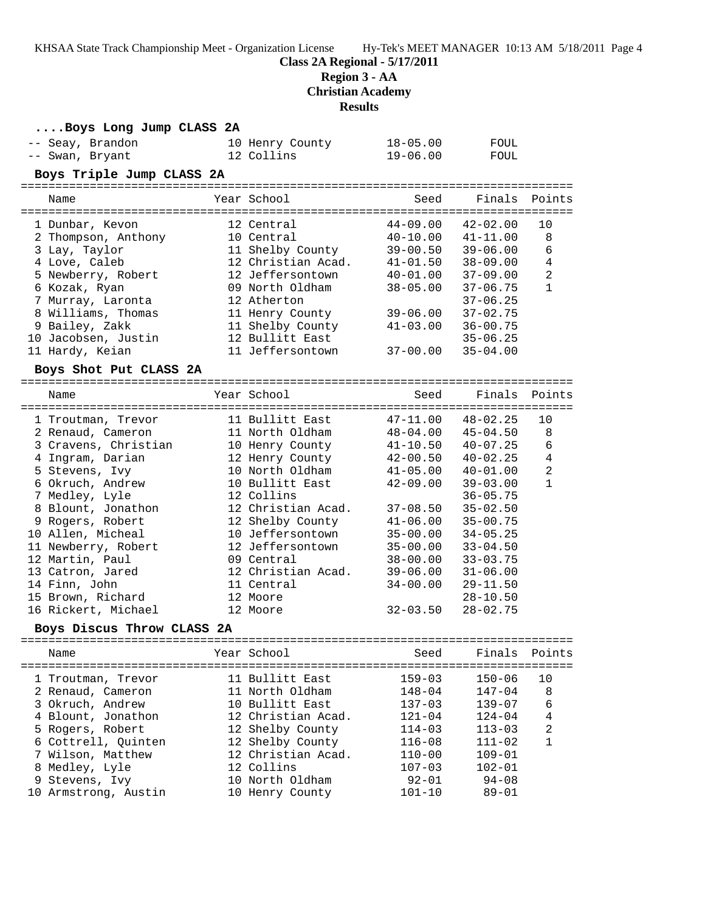**....Boys Long Jump CLASS 2A**

**Class 2A Regional - 5/17/2011**

**Region 3 - AA**

**Christian Academy**

**Results**

| -- Seay, Brandon<br>-- Swan, Bryant | 10 Henry County<br>12 Collins | $18 - 05.00$<br>$19 - 06.00$ | FOUL<br>FOUL                 |                   |
|-------------------------------------|-------------------------------|------------------------------|------------------------------|-------------------|
| Boys Triple Jump CLASS 2A           |                               |                              |                              |                   |
| Name                                | Year School                   | Seed                         | Finals                       | Points            |
| 1 Dunbar, Kevon                     | 12 Central                    | $44 - 09.00$                 | $42 - 02.00$                 | 10                |
| 2 Thompson, Anthony                 | 10 Central                    | $40 - 10.00$                 | $41 - 11.00$                 | 8                 |
| 3 Lay, Taylor                       | 11 Shelby County              | $39 - 00.50$                 | $39 - 06.00$                 | 6                 |
| 4 Love, Caleb                       | 12 Christian Acad.            | $41 - 01.50$                 | $38 - 09.00$                 | $\overline{4}$    |
| 5 Newberry, Robert                  | 12 Jeffersontown              | $40 - 01.00$                 | $37 - 09.00$                 | $\overline{a}$    |
| 6 Kozak, Ryan                       | 09 North Oldham               | $38 - 05.00$                 | $37 - 06.75$                 | $\mathbf{1}$      |
| 7 Murray, Laronta                   | 12 Atherton                   |                              | $37 - 06.25$                 |                   |
| 8 Williams, Thomas                  | 11 Henry County               | $39 - 06.00$                 | $37 - 02.75$                 |                   |
| 9 Bailey, Zakk                      | 11 Shelby County              | $41 - 03.00$                 | $36 - 00.75$                 |                   |
| 10 Jacobsen, Justin                 | 12 Bullitt East               |                              | $35 - 06.25$                 |                   |
| 11 Hardy, Keian                     | 11 Jeffersontown              | 37-00.00                     | $35 - 04.00$                 |                   |
|                                     |                               |                              |                              |                   |
| Boys Shot Put CLASS 2A              |                               |                              |                              |                   |
| Name                                | Year School                   | Seed                         | Finals                       | Points            |
|                                     |                               |                              |                              |                   |
| 1 Troutman, Trevor                  | 11 Bullitt East               | $47 - 11.00$                 | $48 - 02.25$                 | 10                |
| 2 Renaud, Cameron                   | 11 North Oldham               | 48-04.00                     | $45 - 04.50$                 | 8                 |
| 3 Cravens, Christian                | 10 Henry County               | $41 - 10.50$                 | $40 - 07.25$<br>$40 - 02.25$ | 6                 |
| 4 Ingram, Darian                    | 12 Henry County               | $42 - 00.50$                 |                              | $\overline{4}$    |
| 5 Stevens, Ivy                      | 10 North Oldham               | $41 - 05.00$                 | $40 - 01.00$                 | 2<br>$\mathbf{1}$ |
| 6 Okruch, Andrew                    | 10 Bullitt East               | $42 - 09.00$                 | $39 - 03.00$                 |                   |
| 7 Medley, Lyle                      | 12 Collins                    |                              | $36 - 05.75$                 |                   |
| 8 Blount, Jonathon                  | 12 Christian Acad.            | $37 - 08.50$                 | $35 - 02.50$                 |                   |
| 9 Rogers, Robert                    | 12 Shelby County              | $41 - 06.00$                 | $35 - 00.75$                 |                   |
| 10 Allen, Micheal                   | 10 Jeffersontown              | $35 - 00.00$                 | $34 - 05.25$                 |                   |
| 11 Newberry, Robert                 | 12 Jeffersontown              | $35 - 00.00$                 | $33 - 04.50$                 |                   |
| 12 Martin, Paul                     | 09 Central                    | $38 - 00.00$                 | $33 - 03.75$                 |                   |
| 13 Catron, Jared                    | 12 Christian Acad.            | $39 - 06.00$                 | $31 - 06.00$                 |                   |
| 14 Finn, John                       | 11 Central                    | $34 - 00.00$                 | $29 - 11.50$                 |                   |
| 15 Brown, Richard                   | 12 Moore<br>12 Moore          | $32 - 03.50$                 | $28 - 10.50$<br>$28 - 02.75$ |                   |
| 16 Rickert, Michael                 |                               |                              |                              |                   |
| Boys Discus Throw CLASS 2A          |                               |                              |                              |                   |
| Year School<br>Name                 |                               | Seed Finals Points           |                              |                   |
| 1 Troutman, Trevor                  | 11 Bullitt East               | $159 - 03$                   | $150 - 06$                   | 10                |
| 2 Renaud, Cameron                   | 11 North Oldham               | $148 - 04$                   | $147 - 04$                   | 8                 |
| 3 Okruch, Andrew                    | 10 Bullitt East               | $137 - 03$                   | $139 - 07$                   | 6                 |
| 4 Blount, Jonathon                  | 12 Christian Acad.            | $121 - 04$                   | $124 - 04$                   | 4                 |
| 5 Rogers, Robert                    | 12 Shelby County              | $114 - 03$                   | $113 - 03$                   | 2                 |
| 6 Cottrell, Quinten                 | 12 Shelby County              | $116 - 08$                   | $111 - 02$                   | 1                 |
| 7 Wilson, Matthew                   | 12 Christian Acad.            | $110 - 00$                   | $109 - 01$                   |                   |
| 8 Medley, Lyle                      | 12 Collins                    | $107 - 03$                   | $102 - 01$                   |                   |
| 9 Stevens, Ivy                      | 10 North Oldham               | $92 - 01$                    | $94 - 08$                    |                   |
| 10 Armstrong, Austin                | 10 Henry County               | $101 - 10$                   | $89 - 01$                    |                   |